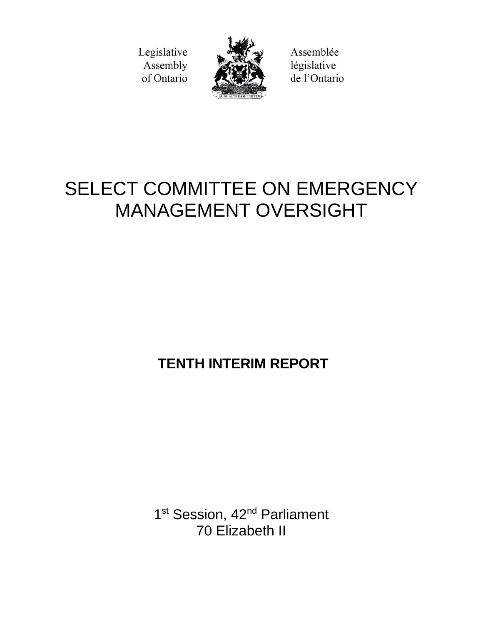Legislative Assembly of Ontario



Assemblée législative de l'Ontario

# SELECT COMMITTEE ON EMERGENCY MANAGEMENT OVERSIGHT

**TENTH INTERIM REPORT** 

1<sup>st</sup> Session, 42<sup>nd</sup> Parliament 70 Elizabeth II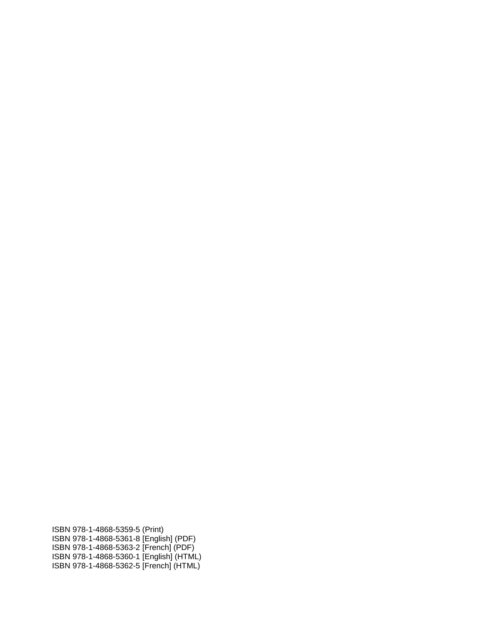ISBN 978-1-4868-5359-5 (Print) ISBN 978-1-4868-5361-8 [English] (PDF) ISBN 978-1-4868-5363-2 [French] (PDF) ISBN 978-1-4868-5360-1 [English] (HTML) ISBN 978-1-4868-5362-5 [French] (HTML)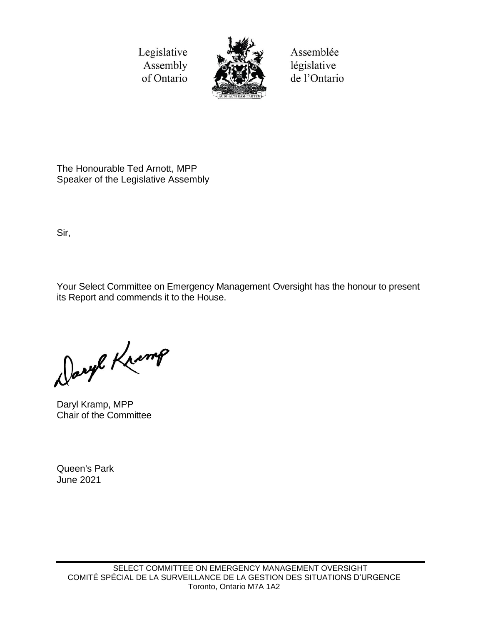Legislative Assembly of Ontario



Assemblée législative de l'Ontario

The Honourable Ted Arnott, MPP Speaker of the Legislative Assembly

Sir,

Your Select Committee on Emergency Management Oversight has the honour to present its Report and commends it to the House.

Daryl Kramp

Daryl Kramp, MPP Chair of the Committee

Queen's Park June 2021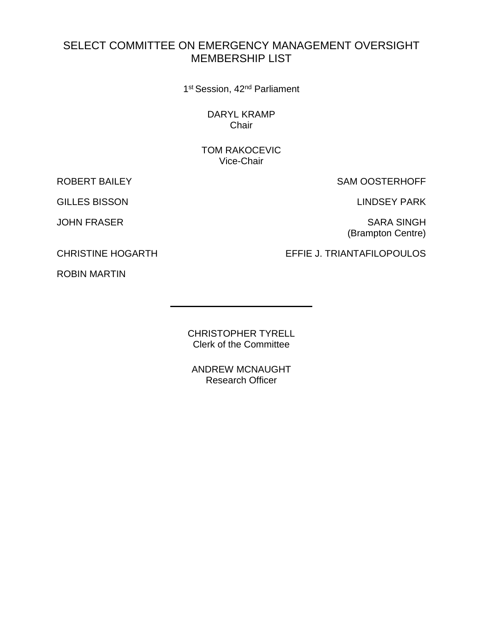# SELECT COMMITTEE ON EMERGENCY MANAGEMENT OVERSIGHT MEMBERSHIP LIST

1<sup>st</sup> Session, 42<sup>nd</sup> Parliament

DARYL KRAMP Chair

TOM RAKOCEVIC Vice-Chair

GILLES BISSON LINDSEY PARK

ROBERT BAILEY SAM OOSTERHOFF

JOHN FRASER SARA SINGH (Brampton Centre)

CHRISTINE HOGARTH EFFIE J. TRIANTAFILOPOULOS

ROBIN MARTIN

CHRISTOPHER TYRELL Clerk of the Committee

ANDREW MCNAUGHT Research Officer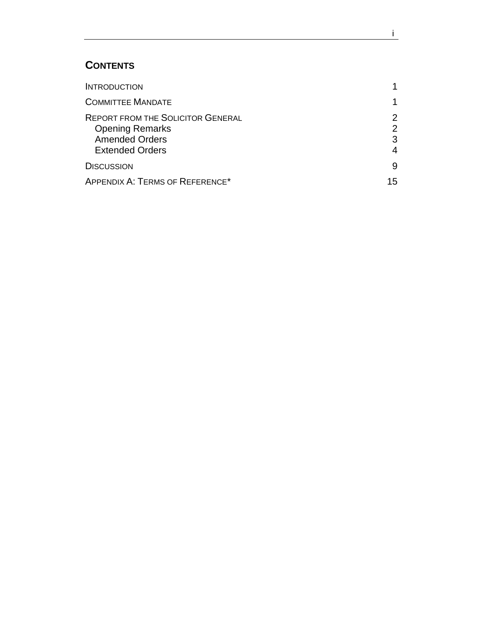# **CONTENTS**

| <b>INTRODUCTION</b>                                                                                                   |                              |
|-----------------------------------------------------------------------------------------------------------------------|------------------------------|
| <b>COMMITTEE MANDATE</b>                                                                                              |                              |
| <b>REPORT FROM THE SOLICITOR GENERAL</b><br><b>Opening Remarks</b><br><b>Amended Orders</b><br><b>Extended Orders</b> | $\mathcal{P}$<br>2<br>3<br>4 |
| <b>DISCUSSION</b>                                                                                                     | 9                            |
| APPENDIX A: TERMS OF REFERENCE*                                                                                       | 15                           |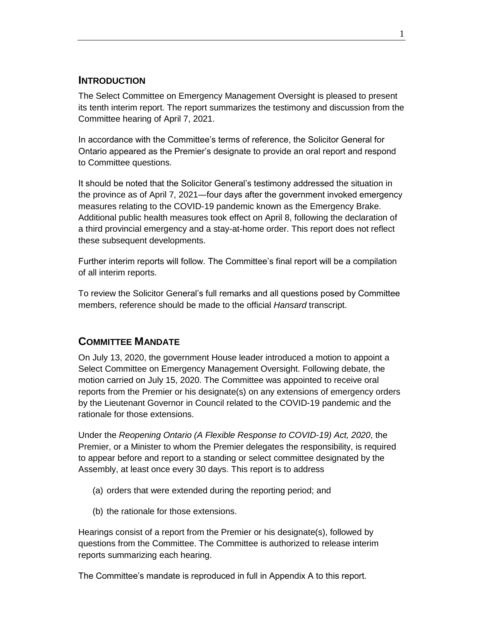#### <span id="page-8-0"></span>**INTRODUCTION**

The Select Committee on Emergency Management Oversight is pleased to present its tenth interim report. The report summarizes the testimony and discussion from the Committee hearing of April 7, 2021.

In accordance with the Committee's terms of reference, the Solicitor General for Ontario appeared as the Premier's designate to provide an oral report and respond to Committee questions.

It should be noted that the Solicitor General's testimony addressed the situation in the province as of April 7, 2021―four days after the government invoked emergency measures relating to the COVID-19 pandemic known as the Emergency Brake. Additional public health measures took effect on April 8, following the declaration of a third provincial emergency and a stay-at-home order. This report does not reflect these subsequent developments.

Further interim reports will follow. The Committee's final report will be a compilation of all interim reports.

To review the Solicitor General's full remarks and all questions posed by Committee members, reference should be made to the official *Hansard* transcript.

## <span id="page-8-1"></span>**COMMITTEE MANDATE**

On July 13, 2020, the government House leader introduced a motion to appoint a Select Committee on Emergency Management Oversight. Following debate, the motion carried on July 15, 2020. The Committee was appointed to receive oral reports from the Premier or his designate(s) on any extensions of emergency orders by the Lieutenant Governor in Council related to the COVID-19 pandemic and the rationale for those extensions.

Under the *Reopening Ontario (A Flexible Response to COVID-19) Act, 2020*, the Premier, or a Minister to whom the Premier delegates the responsibility, is required to appear before and report to a standing or select committee designated by the Assembly, at least once every 30 days. This report is to address

- (a) orders that were extended during the reporting period; and
- (b) the rationale for those extensions.

Hearings consist of a report from the Premier or his designate(s), followed by questions from the Committee. The Committee is authorized to release interim reports summarizing each hearing.

The Committee's mandate is reproduced in full in Appendix A to this report.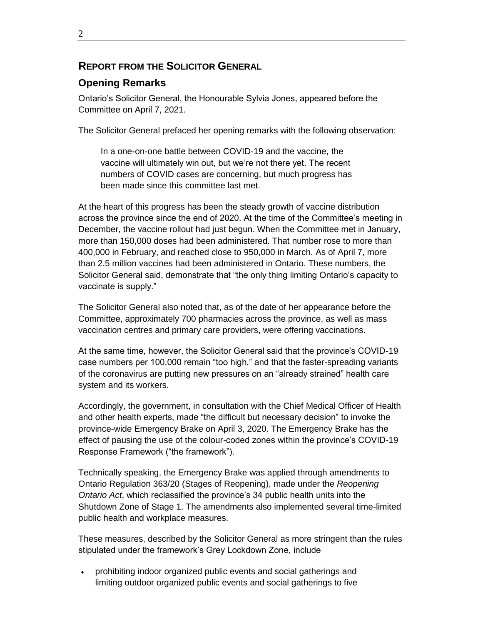## <span id="page-9-0"></span>**REPORT FROM THE SOLICITOR GENERAL**

## <span id="page-9-1"></span>**Opening Remarks**

Ontario's Solicitor General, the Honourable Sylvia Jones, appeared before the Committee on April 7, 2021.

The Solicitor General prefaced her opening remarks with the following observation:

In a one-on-one battle between COVID-19 and the vaccine, the vaccine will ultimately win out, but we're not there yet. The recent numbers of COVID cases are concerning, but much progress has been made since this committee last met.

At the heart of this progress has been the steady growth of vaccine distribution across the province since the end of 2020. At the time of the Committee's meeting in December, the vaccine rollout had just begun. When the Committee met in January, more than 150,000 doses had been administered. That number rose to more than 400,000 in February, and reached close to 950,000 in March. As of April 7, more than 2.5 million vaccines had been administered in Ontario. These numbers, the Solicitor General said, demonstrate that "the only thing limiting Ontario's capacity to vaccinate is supply."

The Solicitor General also noted that, as of the date of her appearance before the Committee, approximately 700 pharmacies across the province, as well as mass vaccination centres and primary care providers, were offering vaccinations.

At the same time, however, the Solicitor General said that the province's COVID-19 case numbers per 100,000 remain "too high," and that the faster-spreading variants of the coronavirus are putting new pressures on an "already strained" health care system and its workers.

Accordingly, the government, in consultation with the Chief Medical Officer of Health and other health experts, made "the difficult but necessary decision" to invoke the province-wide Emergency Brake on April 3, 2020. The Emergency Brake has the effect of pausing the use of the colour-coded zones within the province's COVID-19 Response Framework ("the framework").

Technically speaking, the Emergency Brake was applied through amendments to Ontario Regulation 363/20 (Stages of Reopening), made under the *Reopening Ontario Act*, which reclassified the province's 34 public health units into the Shutdown Zone of Stage 1. The amendments also implemented several time-limited public health and workplace measures.

These measures, described by the Solicitor General as more stringent than the rules stipulated under the framework's Grey Lockdown Zone, include

 prohibiting indoor organized public events and social gatherings and limiting outdoor organized public events and social gatherings to five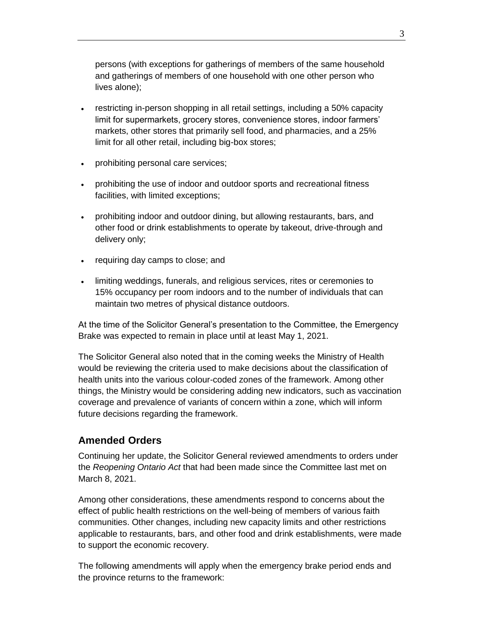persons (with exceptions for gatherings of members of the same household and gatherings of members of one household with one other person who lives alone);

- restricting in-person shopping in all retail settings, including a 50% capacity limit for supermarkets, grocery stores, convenience stores, indoor farmers' markets, other stores that primarily sell food, and pharmacies, and a 25% limit for all other retail, including big-box stores;
- prohibiting personal care services;
- prohibiting the use of indoor and outdoor sports and recreational fitness facilities, with limited exceptions;
- prohibiting indoor and outdoor dining, but allowing restaurants, bars, and other food or drink establishments to operate by takeout, drive-through and delivery only;
- requiring day camps to close; and
- limiting weddings, funerals, and religious services, rites or ceremonies to 15% occupancy per room indoors and to the number of individuals that can maintain two metres of physical distance outdoors.

At the time of the Solicitor General's presentation to the Committee, the Emergency Brake was expected to remain in place until at least May 1, 2021.

The Solicitor General also noted that in the coming weeks the Ministry of Health would be reviewing the criteria used to make decisions about the classification of health units into the various colour-coded zones of the framework. Among other things, the Ministry would be considering adding new indicators, such as vaccination coverage and prevalence of variants of concern within a zone, which will inform future decisions regarding the framework.

#### <span id="page-10-0"></span>**Amended Orders**

Continuing her update, the Solicitor General reviewed amendments to orders under the *Reopening Ontario Act* that had been made since the Committee last met on March 8, 2021.

Among other considerations, these amendments respond to concerns about the effect of public health restrictions on the well-being of members of various faith communities. Other changes, including new capacity limits and other restrictions applicable to restaurants, bars, and other food and drink establishments, were made to support the economic recovery.

The following amendments will apply when the emergency brake period ends and the province returns to the framework: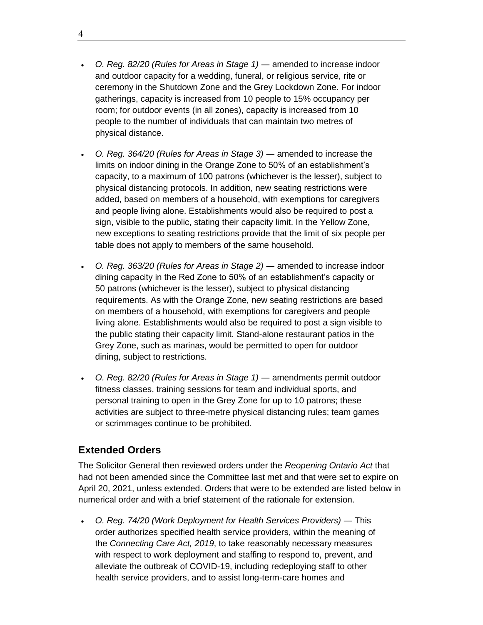- *O. Reg. 82/20 (Rules for Areas in Stage 1)* ― amended to increase indoor and outdoor capacity for a wedding, funeral, or religious service, rite or ceremony in the Shutdown Zone and the Grey Lockdown Zone. For indoor gatherings, capacity is increased from 10 people to 15% occupancy per room; for outdoor events (in all zones), capacity is increased from 10 people to the number of individuals that can maintain two metres of physical distance.
- *O. Reg. 364/20 (Rules for Areas in Stage 3)* ― amended to increase the limits on indoor dining in the Orange Zone to 50% of an establishment's capacity, to a maximum of 100 patrons (whichever is the lesser), subject to physical distancing protocols. In addition, new seating restrictions were added, based on members of a household, with exemptions for caregivers and people living alone. Establishments would also be required to post a sign, visible to the public, stating their capacity limit. In the Yellow Zone, new exceptions to seating restrictions provide that the limit of six people per table does not apply to members of the same household.
- *O. Reg. 363/20 (Rules for Areas in Stage 2)* ― amended to increase indoor dining capacity in the Red Zone to 50% of an establishment's capacity or 50 patrons (whichever is the lesser), subject to physical distancing requirements. As with the Orange Zone, new seating restrictions are based on members of a household, with exemptions for caregivers and people living alone. Establishments would also be required to post a sign visible to the public stating their capacity limit. Stand-alone restaurant patios in the Grey Zone, such as marinas, would be permitted to open for outdoor dining, subject to restrictions.
- *O. Reg. 82/20 (Rules for Areas in Stage 1)* ― amendments permit outdoor fitness classes, training sessions for team and individual sports, and personal training to open in the Grey Zone for up to 10 patrons; these activities are subject to three-metre physical distancing rules; team games or scrimmages continue to be prohibited.

#### <span id="page-11-0"></span>**Extended Orders**

The Solicitor General then reviewed orders under the *Reopening Ontario Act* that had not been amended since the Committee last met and that were set to expire on April 20, 2021, unless extended. Orders that were to be extended are listed below in numerical order and with a brief statement of the rationale for extension.

• O. Reg. 74/20 (Work Deployment for Health Services Providers) — This order authorizes specified health service providers, within the meaning of the *Connecting Care Act, 2019*, to take reasonably necessary measures with respect to work deployment and staffing to respond to, prevent, and alleviate the outbreak of COVID-19, including redeploying staff to other health service providers, and to assist long-term-care homes and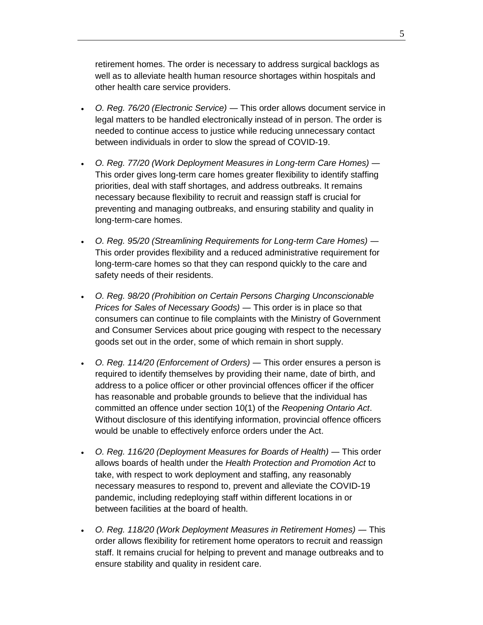retirement homes. The order is necessary to address surgical backlogs as well as to alleviate health human resource shortages within hospitals and other health care service providers.

- *O. Reg. 76/20 (Electronic Service)* ― This order allows document service in legal matters to be handled electronically instead of in person. The order is needed to continue access to justice while reducing unnecessary contact between individuals in order to slow the spread of COVID-19.
- *O. Reg. 77/20 (Work Deployment Measures in Long-term Care Homes)* ― This order gives long-term care homes greater flexibility to identify staffing priorities, deal with staff shortages, and address outbreaks. It remains necessary because flexibility to recruit and reassign staff is crucial for preventing and managing outbreaks, and ensuring stability and quality in long-term-care homes.
- *O. Reg. 95/20 (Streamlining Requirements for Long-term Care Homes)* ― This order provides flexibility and a reduced administrative requirement for long-term-care homes so that they can respond quickly to the care and safety needs of their residents.
- *O. Reg. 98/20 (Prohibition on Certain Persons Charging Unconscionable Prices for Sales of Necessary Goods)* ― This order is in place so that consumers can continue to file complaints with the Ministry of Government and Consumer Services about price gouging with respect to the necessary goods set out in the order, some of which remain in short supply.
- *O. Reg. 114/20 (Enforcement of Orders)* ― This order ensures a person is required to identify themselves by providing their name, date of birth, and address to a police officer or other provincial offences officer if the officer has reasonable and probable grounds to believe that the individual has committed an offence under section 10(1) of the *Reopening Ontario Act*. Without disclosure of this identifying information, provincial offence officers would be unable to effectively enforce orders under the Act.
- *O. Reg. 116/20 (Deployment Measures for Boards of Health)* ― This order allows boards of health under the *Health Protection and Promotion Act* to take, with respect to work deployment and staffing, any reasonably necessary measures to respond to, prevent and alleviate the COVID-19 pandemic, including redeploying staff within different locations in or between facilities at the board of health.
- *O. Reg. 118/20 (Work Deployment Measures in Retirement Homes)* ― This order allows flexibility for retirement home operators to recruit and reassign staff. It remains crucial for helping to prevent and manage outbreaks and to ensure stability and quality in resident care.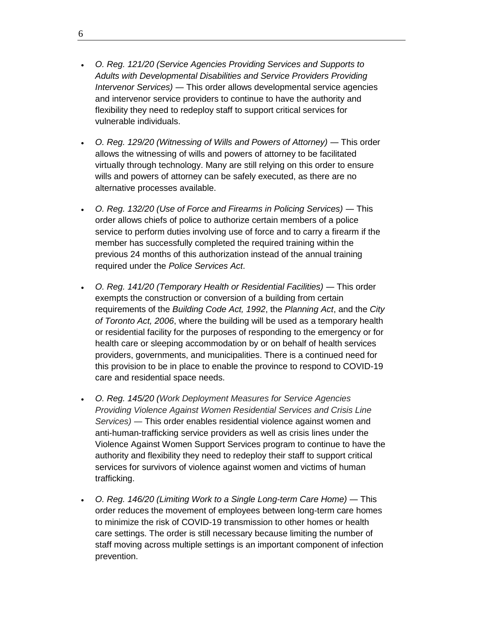- *O. Reg. 121/20 (Service Agencies Providing Services and Supports to Adults with Developmental Disabilities and Service Providers Providing Intervenor Services)* ― This order allows developmental service agencies and intervenor service providers to continue to have the authority and flexibility they need to redeploy staff to support critical services for vulnerable individuals.
- *O. Reg. 129/20 (Witnessing of Wills and Powers of Attorney)* ― This order allows the witnessing of wills and powers of attorney to be facilitated virtually through technology. Many are still relying on this order to ensure wills and powers of attorney can be safely executed, as there are no alternative processes available.
- *O. Reg. 132/20 (Use of Force and Firearms in Policing Services)* ― This order allows chiefs of police to authorize certain members of a police service to perform duties involving use of force and to carry a firearm if the member has successfully completed the required training within the previous 24 months of this authorization instead of the annual training required under the *Police Services Act*.
- *O. Reg. 141/20 (Temporary Health or Residential Facilities)* ― This order exempts the construction or conversion of a building from certain requirements of the *Building Code Act, 1992*, the *Planning Act*, and the *City of Toronto Act, 2006*, where the building will be used as a temporary health or residential facility for the purposes of responding to the emergency or for health care or sleeping accommodation by or on behalf of health services providers, governments, and municipalities. There is a continued need for this provision to be in place to enable the province to respond to COVID-19 care and residential space needs.
- *O. Reg. 145/20 (Work Deployment Measures for Service Agencies Providing Violence Against Women Residential Services and Crisis Line Services)* ― This order enables residential violence against women and anti-human-trafficking service providers as well as crisis lines under the Violence Against Women Support Services program to continue to have the authority and flexibility they need to redeploy their staff to support critical services for survivors of violence against women and victims of human trafficking.
- *O. Reg. 146/20 (Limiting Work to a Single Long-term Care Home)* ― This order reduces the movement of employees between long-term care homes to minimize the risk of COVID-19 transmission to other homes or health care settings. The order is still necessary because limiting the number of staff moving across multiple settings is an important component of infection prevention.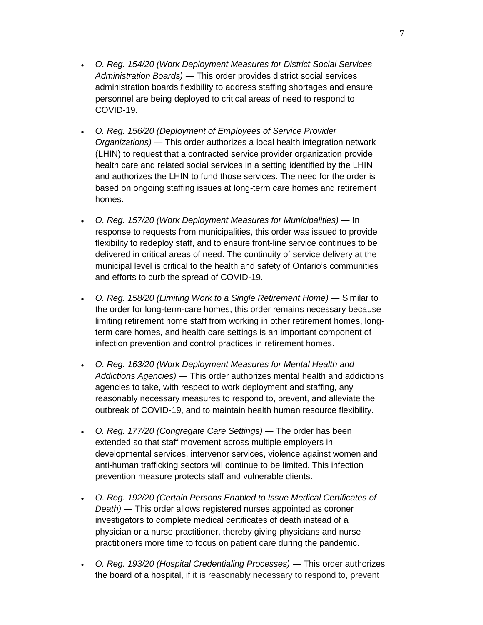- *O. Reg. 154/20 (Work Deployment Measures for District Social Services Administration Boards)* ― This order provides district social services administration boards flexibility to address staffing shortages and ensure personnel are being deployed to critical areas of need to respond to COVID-19.
- *O. Reg. 156/20 (Deployment of Employees of Service Provider Organizations)* ― This order authorizes a local health integration network (LHIN) to request that a contracted service provider organization provide health care and related social services in a setting identified by the LHIN and authorizes the LHIN to fund those services. The need for the order is based on ongoing staffing issues at long-term care homes and retirement homes.
- *O. Reg. 157/20 (Work Deployment Measures for Municipalities)* ― In response to requests from municipalities, this order was issued to provide flexibility to redeploy staff, and to ensure front-line service continues to be delivered in critical areas of need. The continuity of service delivery at the municipal level is critical to the health and safety of Ontario's communities and efforts to curb the spread of COVID-19.
- *O. Reg. 158/20 (Limiting Work to a Single Retirement Home)* ― Similar to the order for long-term-care homes, this order remains necessary because limiting retirement home staff from working in other retirement homes, longterm care homes, and health care settings is an important component of infection prevention and control practices in retirement homes.
- *O. Reg. 163/20 (Work Deployment Measures for Mental Health and Addictions Agencies)* ― This order authorizes mental health and addictions agencies to take, with respect to work deployment and staffing, any reasonably necessary measures to respond to, prevent, and alleviate the outbreak of COVID-19, and to maintain health human resource flexibility.
- *O. Reg. 177/20 (Congregate Care Settings)* ― The order has been extended so that staff movement across multiple employers in developmental services, intervenor services, violence against women and anti-human trafficking sectors will continue to be limited. This infection prevention measure protects staff and vulnerable clients.
- *O. Reg. 192/20 (Certain Persons Enabled to Issue Medical Certificates of Death)* ― This order allows registered nurses appointed as coroner investigators to complete medical certificates of death instead of a physician or a nurse practitioner, thereby giving physicians and nurse practitioners more time to focus on patient care during the pandemic.
- *O. Reg. 193/20 (Hospital Credentialing Processes)* ― This order authorizes the board of a hospital, if it is reasonably necessary to respond to, prevent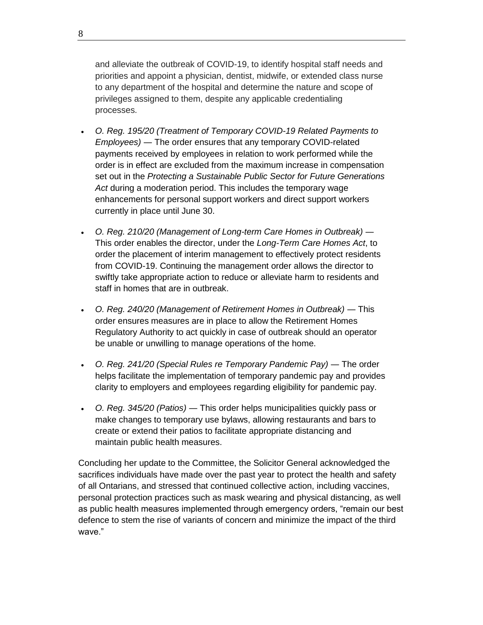and alleviate the outbreak of COVID-19, to identify hospital staff needs and priorities and appoint a physician, dentist, midwife, or extended class nurse to any department of the hospital and determine the nature and scope of privileges assigned to them, despite any applicable credentialing processes.

- *O. Reg. 195/20 (Treatment of Temporary COVID-19 Related Payments to Employees)* ― The order ensures that any temporary COVID-related payments received by employees in relation to work performed while the order is in effect are excluded from the maximum increase in compensation set out in the *Protecting a Sustainable Public Sector for Future Generations Act* during a moderation period. This includes the temporary wage enhancements for personal support workers and direct support workers currently in place until June 30.
- *O. Reg. 210/20 (Management of Long-term Care Homes in Outbreak)* ― This order enables the director, under the *Long-Term Care Homes Act*, to order the placement of interim management to effectively protect residents from COVID-19. Continuing the management order allows the director to swiftly take appropriate action to reduce or alleviate harm to residents and staff in homes that are in outbreak.
- *O. Reg. 240/20 (Management of Retirement Homes in Outbreak)* ― This order ensures measures are in place to allow the Retirement Homes Regulatory Authority to act quickly in case of outbreak should an operator be unable or unwilling to manage operations of the home.
- *O. Reg. 241/20 (Special Rules re Temporary Pandemic Pay)* ― The order helps facilitate the implementation of temporary pandemic pay and provides clarity to employers and employees regarding eligibility for pandemic pay.
- *O. Reg. 345/20 (Patios)* ― This order helps municipalities quickly pass or make changes to temporary use bylaws, allowing restaurants and bars to create or extend their patios to facilitate appropriate distancing and maintain public health measures.

Concluding her update to the Committee, the Solicitor General acknowledged the sacrifices individuals have made over the past year to protect the health and safety of all Ontarians, and stressed that continued collective action, including vaccines, personal protection practices such as mask wearing and physical distancing, as well as public health measures implemented through emergency orders, "remain our best defence to stem the rise of variants of concern and minimize the impact of the third wave."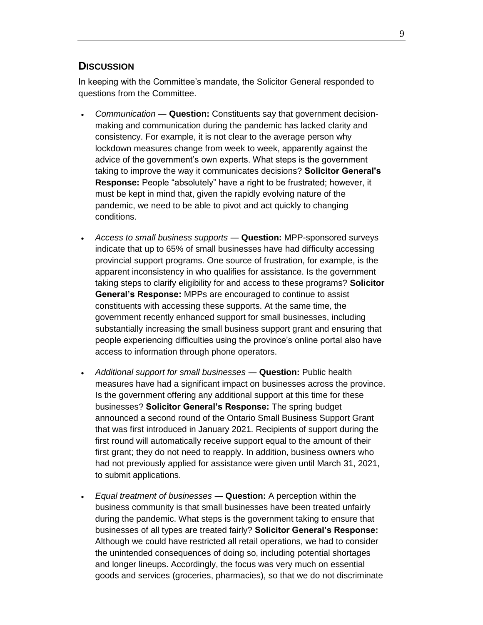#### <span id="page-16-0"></span>**DISCUSSION**

In keeping with the Committee's mandate, the Solicitor General responded to questions from the Committee.

- *Communication* ― **Question:** Constituents say that government decisionmaking and communication during the pandemic has lacked clarity and consistency. For example, it is not clear to the average person why lockdown measures change from week to week, apparently against the advice of the government's own experts. What steps is the government taking to improve the way it communicates decisions? **Solicitor General's Response:** People "absolutely" have a right to be frustrated; however, it must be kept in mind that, given the rapidly evolving nature of the pandemic, we need to be able to pivot and act quickly to changing conditions.
- *Access to small business supports* ― **Question:** MPP-sponsored surveys indicate that up to 65% of small businesses have had difficulty accessing provincial support programs. One source of frustration, for example, is the apparent inconsistency in who qualifies for assistance. Is the government taking steps to clarify eligibility for and access to these programs? **Solicitor General's Response:** MPPs are encouraged to continue to assist constituents with accessing these supports. At the same time, the government recently enhanced support for small businesses, including substantially increasing the small business support grant and ensuring that people experiencing difficulties using the province's online portal also have access to information through phone operators.
- *Additional support for small businesses* ― **Question:** Public health measures have had a significant impact on businesses across the province. Is the government offering any additional support at this time for these businesses? **Solicitor General's Response:** The spring budget announced a second round of the Ontario Small Business Support Grant that was first introduced in January 2021. Recipients of support during the first round will automatically receive support equal to the amount of their first grant; they do not need to reapply. In addition, business owners who had not previously applied for assistance were given until March 31, 2021, to submit applications.
- *Equal treatment of businesses* ― **Question:** A perception within the business community is that small businesses have been treated unfairly during the pandemic. What steps is the government taking to ensure that businesses of all types are treated fairly? **Solicitor General's Response:** Although we could have restricted all retail operations, we had to consider the unintended consequences of doing so, including potential shortages and longer lineups. Accordingly, the focus was very much on essential goods and services (groceries, pharmacies), so that we do not discriminate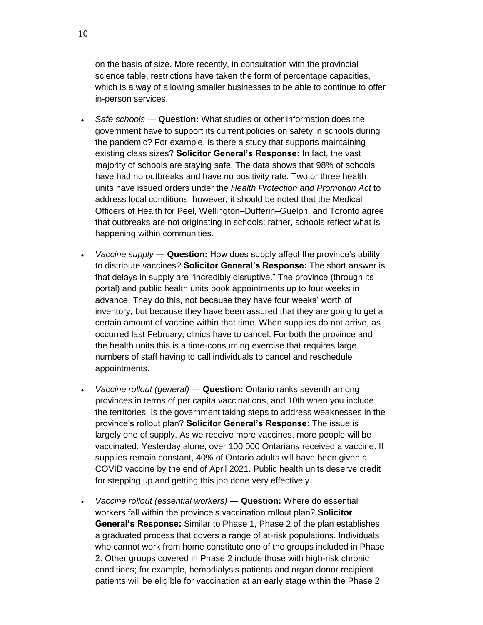on the basis of size. More recently, in consultation with the provincial science table, restrictions have taken the form of percentage capacities, which is a way of allowing smaller businesses to be able to continue to offer in-person services.

- *Safe schools* ― **Question:** What studies or other information does the government have to support its current policies on safety in schools during the pandemic? For example, is there a study that supports maintaining existing class sizes? **Solicitor General's Response:** In fact, the vast majority of schools are staying safe. The data shows that 98% of schools have had no outbreaks and have no positivity rate. Two or three health units have issued orders under the *Health Protection and Promotion Act* to address local conditions; however, it should be noted that the Medical Officers of Health for Peel, Wellington–Dufferin–Guelph, and Toronto agree that outbreaks are not originating in schools; rather, schools reflect what is happening within communities.
- *Vaccine supply* **― Question:** How does supply affect the province's ability to distribute vaccines? **Solicitor General's Response:** The short answer is that delays in supply are "incredibly disruptive." The province (through its portal) and public health units book appointments up to four weeks in advance. They do this, not because they have four weeks' worth of inventory, but because they have been assured that they are going to get a certain amount of vaccine within that time. When supplies do not arrive, as occurred last February, clinics have to cancel. For both the province and the health units this is a time-consuming exercise that requires large numbers of staff having to call individuals to cancel and reschedule appointments.
- *Vaccine rollout (general)* ― **Question:** Ontario ranks seventh among provinces in terms of per capita vaccinations, and 10th when you include the territories. Is the government taking steps to address weaknesses in the province's rollout plan? **Solicitor General's Response:** The issue is largely one of supply. As we receive more vaccines, more people will be vaccinated. Yesterday alone, over 100,000 Ontarians received a vaccine. If supplies remain constant, 40% of Ontario adults will have been given a COVID vaccine by the end of April 2021. Public health units deserve credit for stepping up and getting this job done very effectively.
- *Vaccine rollout (essential workers)* ― **Question:** Where do essential workers fall within the province's vaccination rollout plan? **Solicitor General's Response:** Similar to Phase 1, Phase 2 of the plan establishes a graduated process that covers a range of at-risk populations. Individuals who cannot work from home constitute one of the groups included in Phase 2. Other groups covered in Phase 2 include those with high-risk chronic conditions; for example, hemodialysis patients and organ donor recipient patients will be eligible for vaccination at an early stage within the Phase 2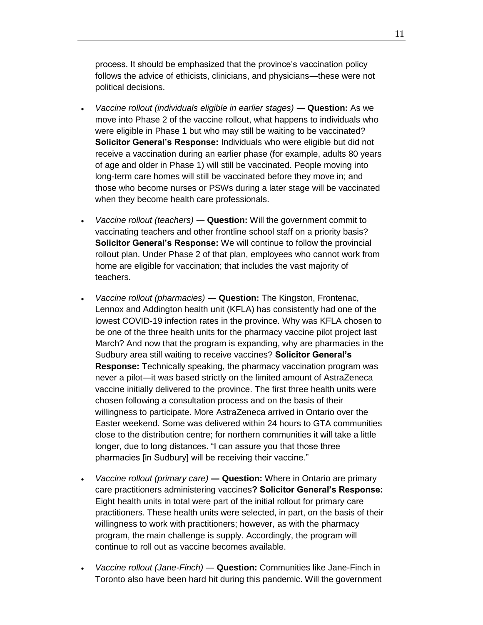process. It should be emphasized that the province's vaccination policy follows the advice of ethicists, clinicians, and physicians―these were not political decisions.

- *Vaccine rollout (individuals eligible in earlier stages) Question: As we* move into Phase 2 of the vaccine rollout, what happens to individuals who were eligible in Phase 1 but who may still be waiting to be vaccinated? **Solicitor General's Response:** Individuals who were eligible but did not receive a vaccination during an earlier phase (for example, adults 80 years of age and older in Phase 1) will still be vaccinated. People moving into long-term care homes will still be vaccinated before they move in; and those who become nurses or PSWs during a later stage will be vaccinated when they become health care professionals.
- *Vaccine rollout (teachers)* ― **Question:** Will the government commit to vaccinating teachers and other frontline school staff on a priority basis? **Solicitor General's Response:** We will continue to follow the provincial rollout plan. Under Phase 2 of that plan, employees who cannot work from home are eligible for vaccination; that includes the vast majority of teachers.
- *Vaccine rollout (pharmacies)* ― **Question:** The Kingston, Frontenac, Lennox and Addington health unit (KFLA) has consistently had one of the lowest COVID-19 infection rates in the province. Why was KFLA chosen to be one of the three health units for the pharmacy vaccine pilot project last March? And now that the program is expanding, why are pharmacies in the Sudbury area still waiting to receive vaccines? **Solicitor General's Response:** Technically speaking, the pharmacy vaccination program was never a pilot―it was based strictly on the limited amount of AstraZeneca vaccine initially delivered to the province. The first three health units were chosen following a consultation process and on the basis of their willingness to participate. More AstraZeneca arrived in Ontario over the Easter weekend. Some was delivered within 24 hours to GTA communities close to the distribution centre; for northern communities it will take a little longer, due to long distances. "I can assure you that those three pharmacies [in Sudbury] will be receiving their vaccine."
- *Vaccine rollout (primary care)* **― Question:** Where in Ontario are primary care practitioners administering vaccines**? Solicitor General's Response:** Eight health units in total were part of the initial rollout for primary care practitioners. These health units were selected, in part, on the basis of their willingness to work with practitioners; however, as with the pharmacy program, the main challenge is supply. Accordingly, the program will continue to roll out as vaccine becomes available.
- *Vaccine rollout (Jane-Finch)* ― **Question:** Communities like Jane-Finch in Toronto also have been hard hit during this pandemic. Will the government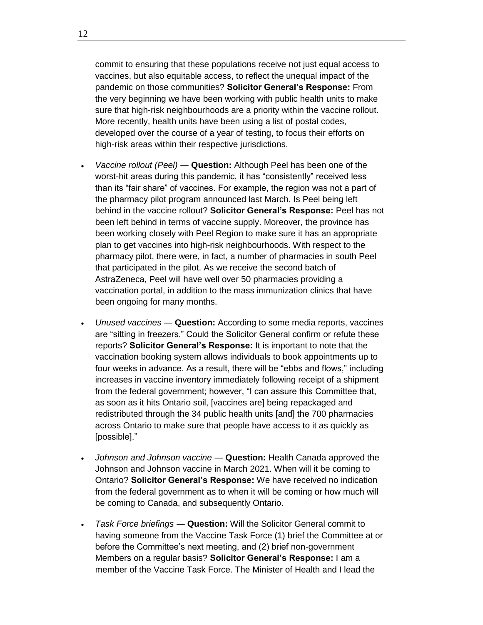commit to ensuring that these populations receive not just equal access to vaccines, but also equitable access, to reflect the unequal impact of the pandemic on those communities? **Solicitor General's Response:** From the very beginning we have been working with public health units to make sure that high-risk neighbourhoods are a priority within the vaccine rollout. More recently, health units have been using a list of postal codes, developed over the course of a year of testing, to focus their efforts on high-risk areas within their respective jurisdictions.

- *Vaccine rollout (Peel)* ― **Question:** Although Peel has been one of the worst-hit areas during this pandemic, it has "consistently" received less than its "fair share" of vaccines. For example, the region was not a part of the pharmacy pilot program announced last March. Is Peel being left behind in the vaccine rollout? **Solicitor General's Response:** Peel has not been left behind in terms of vaccine supply. Moreover, the province has been working closely with Peel Region to make sure it has an appropriate plan to get vaccines into high-risk neighbourhoods. With respect to the pharmacy pilot, there were, in fact, a number of pharmacies in south Peel that participated in the pilot. As we receive the second batch of AstraZeneca, Peel will have well over 50 pharmacies providing a vaccination portal, in addition to the mass immunization clinics that have been ongoing for many months.
- *Unused vaccines* ― **Question:** According to some media reports, vaccines are "sitting in freezers." Could the Solicitor General confirm or refute these reports? **Solicitor General's Response:** It is important to note that the vaccination booking system allows individuals to book appointments up to four weeks in advance. As a result, there will be "ebbs and flows," including increases in vaccine inventory immediately following receipt of a shipment from the federal government; however, "I can assure this Committee that, as soon as it hits Ontario soil, [vaccines are] being repackaged and redistributed through the 34 public health units [and] the 700 pharmacies across Ontario to make sure that people have access to it as quickly as [possible]."
- *Johnson and Johnson vaccine* ― **Question:** Health Canada approved the Johnson and Johnson vaccine in March 2021. When will it be coming to Ontario? **Solicitor General's Response:** We have received no indication from the federal government as to when it will be coming or how much will be coming to Canada, and subsequently Ontario.
- *Task Force briefings* ― **Question:** Will the Solicitor General commit to having someone from the Vaccine Task Force (1) brief the Committee at or before the Committee's next meeting, and (2) brief non-government Members on a regular basis? **Solicitor General's Response:** I am a member of the Vaccine Task Force. The Minister of Health and I lead the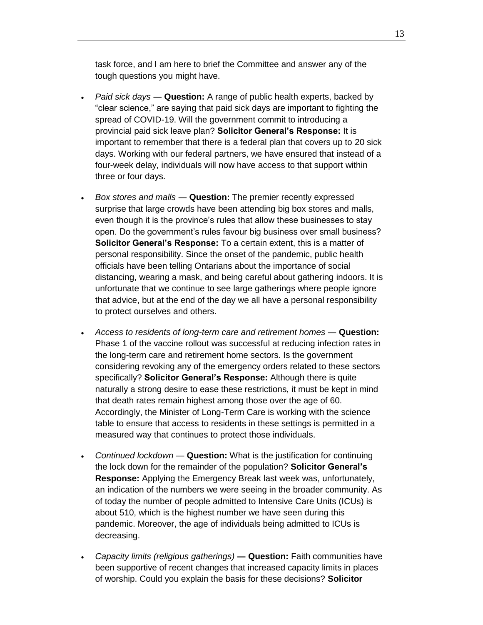task force, and I am here to brief the Committee and answer any of the tough questions you might have.

- *Paid sick days* ― **Question:** A range of public health experts, backed by "clear science," are saying that paid sick days are important to fighting the spread of COVID-19. Will the government commit to introducing a provincial paid sick leave plan? **Solicitor General's Response:** It is important to remember that there is a federal plan that covers up to 20 sick days. Working with our federal partners, we have ensured that instead of a four-week delay, individuals will now have access to that support within three or four days.
- *Box stores and malls* ― **Question:** The premier recently expressed surprise that large crowds have been attending big box stores and malls, even though it is the province's rules that allow these businesses to stay open. Do the government's rules favour big business over small business? **Solicitor General's Response:** To a certain extent, this is a matter of personal responsibility. Since the onset of the pandemic, public health officials have been telling Ontarians about the importance of social distancing, wearing a mask, and being careful about gathering indoors. It is unfortunate that we continue to see large gatherings where people ignore that advice, but at the end of the day we all have a personal responsibility to protect ourselves and others.
- *Access to residents of long-term care and retirement homes* ― **Question:** Phase 1 of the vaccine rollout was successful at reducing infection rates in the long-term care and retirement home sectors. Is the government considering revoking any of the emergency orders related to these sectors specifically? **Solicitor General's Response:** Although there is quite naturally a strong desire to ease these restrictions, it must be kept in mind that death rates remain highest among those over the age of 60. Accordingly, the Minister of Long-Term Care is working with the science table to ensure that access to residents in these settings is permitted in a measured way that continues to protect those individuals.
- *Continued lockdown* ― **Question:** What is the justification for continuing the lock down for the remainder of the population? **Solicitor General's Response:** Applying the Emergency Break last week was, unfortunately, an indication of the numbers we were seeing in the broader community. As of today the number of people admitted to Intensive Care Units (ICUs) is about 510, which is the highest number we have seen during this pandemic. Moreover, the age of individuals being admitted to ICUs is decreasing.
- *Capacity limits (religious gatherings)* **― Question:** Faith communities have been supportive of recent changes that increased capacity limits in places of worship. Could you explain the basis for these decisions? **Solicitor**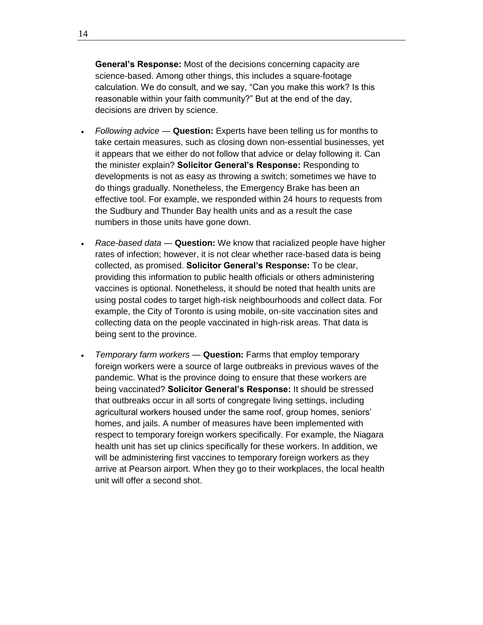**General's Response:** Most of the decisions concerning capacity are science-based. Among other things, this includes a square-footage calculation. We do consult, and we say, "Can you make this work? Is this reasonable within your faith community?" But at the end of the day, decisions are driven by science.

- *Following advice* ― **Question:** Experts have been telling us for months to take certain measures, such as closing down non-essential businesses, yet it appears that we either do not follow that advice or delay following it. Can the minister explain? **Solicitor General's Response:** Responding to developments is not as easy as throwing a switch; sometimes we have to do things gradually. Nonetheless, the Emergency Brake has been an effective tool. For example, we responded within 24 hours to requests from the Sudbury and Thunder Bay health units and as a result the case numbers in those units have gone down.
- *Race-based data* ― **Question:** We know that racialized people have higher rates of infection; however, it is not clear whether race-based data is being collected, as promised. **Solicitor General's Response:** To be clear, providing this information to public health officials or others administering vaccines is optional. Nonetheless, it should be noted that health units are using postal codes to target high-risk neighbourhoods and collect data. For example, the City of Toronto is using mobile, on-site vaccination sites and collecting data on the people vaccinated in high-risk areas. That data is being sent to the province.
- *Temporary farm workers* ― **Question:** Farms that employ temporary foreign workers were a source of large outbreaks in previous waves of the pandemic. What is the province doing to ensure that these workers are being vaccinated? **Solicitor General's Response:** It should be stressed that outbreaks occur in all sorts of congregate living settings, including agricultural workers housed under the same roof, group homes, seniors' homes, and jails. A number of measures have been implemented with respect to temporary foreign workers specifically. For example, the Niagara health unit has set up clinics specifically for these workers. In addition, we will be administering first vaccines to temporary foreign workers as they arrive at Pearson airport. When they go to their workplaces, the local health unit will offer a second shot.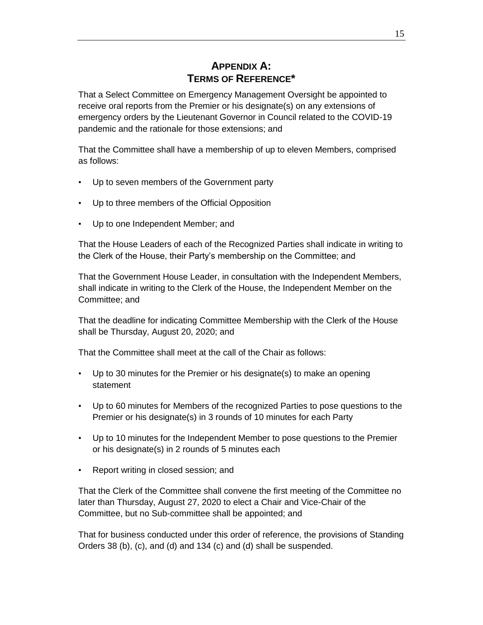#### **APPENDIX A: TERMS OF REFERENCE\***

<span id="page-22-0"></span>That a Select Committee on Emergency Management Oversight be appointed to receive oral reports from the Premier or his designate(s) on any extensions of emergency orders by the Lieutenant Governor in Council related to the COVID-19 pandemic and the rationale for those extensions; and

That the Committee shall have a membership of up to eleven Members, comprised as follows:

- Up to seven members of the Government party
- Up to three members of the Official Opposition
- Up to one Independent Member; and

That the House Leaders of each of the Recognized Parties shall indicate in writing to the Clerk of the House, their Party's membership on the Committee; and

That the Government House Leader, in consultation with the Independent Members, shall indicate in writing to the Clerk of the House, the Independent Member on the Committee; and

That the deadline for indicating Committee Membership with the Clerk of the House shall be Thursday, August 20, 2020; and

That the Committee shall meet at the call of the Chair as follows:

- Up to 30 minutes for the Premier or his designate(s) to make an opening statement
- Up to 60 minutes for Members of the recognized Parties to pose questions to the Premier or his designate(s) in 3 rounds of 10 minutes for each Party
- Up to 10 minutes for the Independent Member to pose questions to the Premier or his designate(s) in 2 rounds of 5 minutes each
- Report writing in closed session; and

That the Clerk of the Committee shall convene the first meeting of the Committee no later than Thursday, August 27, 2020 to elect a Chair and Vice-Chair of the Committee, but no Sub-committee shall be appointed; and

That for business conducted under this order of reference, the provisions of Standing Orders 38 (b), (c), and (d) and 134 (c) and (d) shall be suspended.